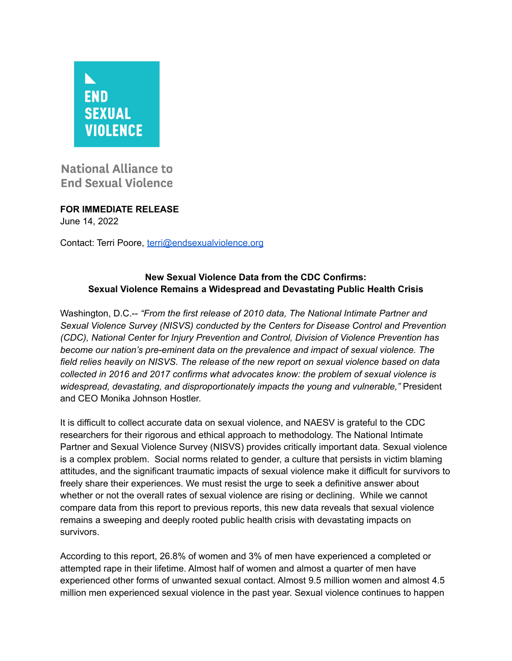

**National Alliance to End Sexual Violence** 

**FOR IMMEDIATE RELEASE** June 14, 2022

Contact: Terri Poore, [terri@endsexualviolence.org](mailto:terri@endsexualviolence.org)

## **New Sexual Violence Data from the CDC Confirms: Sexual Violence Remains a Widespread and Devastating Public Health Crisis**

Washington, D.C.-- *"From the first release of 2010 data, The National Intimate Partner and Sexual Violence Survey (NISVS) conducted by the Centers for Disease Control and Prevention (CDC), National Center for Injury Prevention and Control, Division of Violence Prevention has become our nation's pre-eminent data on the prevalence and impact of sexual violence. The field relies heavily on NISVS. The release of the new report on sexual violence based on data collected in 2016 and 2017 confirms what advocates know: the problem of sexual violence is widespread, devastating, and disproportionately impacts the young and vulnerable,"* President and CEO Monika Johnson Hostler.

It is difficult to collect accurate data on sexual violence, and NAESV is grateful to the CDC researchers for their rigorous and ethical approach to methodology. The National Intimate Partner and Sexual Violence Survey (NISVS) provides critically important data. Sexual violence is a complex problem. Social norms related to gender, a culture that persists in victim blaming attitudes, and the significant traumatic impacts of sexual violence make it difficult for survivors to freely share their experiences. We must resist the urge to seek a definitive answer about whether or not the overall rates of sexual violence are rising or declining. While we cannot compare data from this report to previous reports, this new data reveals that sexual violence remains a sweeping and deeply rooted public health crisis with devastating impacts on survivors.

According to this report, 26.8% of women and 3% of men have experienced a completed or attempted rape in their lifetime. Almost half of women and almost a quarter of men have experienced other forms of unwanted sexual contact. Almost 9.5 million women and almost 4.5 million men experienced sexual violence in the past year. Sexual violence continues to happen